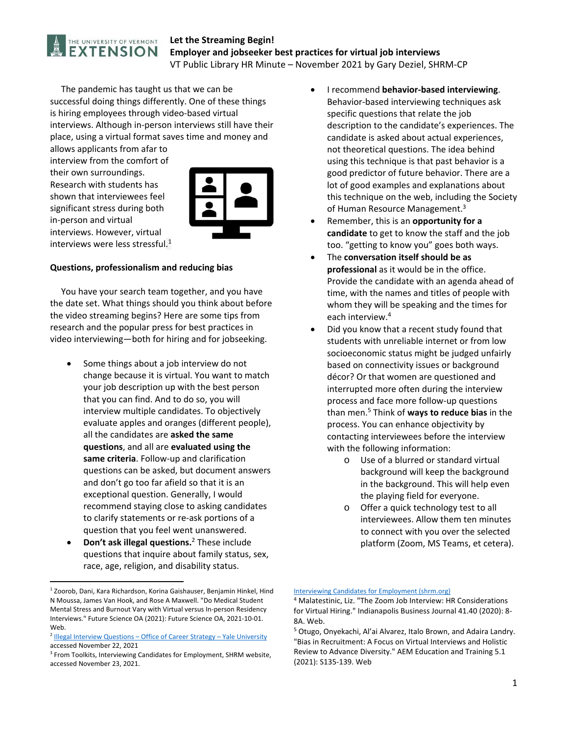

## **Let the Streaming Begin! Employer and jobseeker best practices for virtual job interviews**  VT Public Library HR Minute – November 2021 by Gary Deziel, SHRM‐CP

 The pandemic has taught us that we can be successful doing things differently. One of these things is hiring employees through video‐based virtual interviews. Although in‐person interviews still have their place, using a virtual format saves time and money and

allows applicants from afar to interview from the comfort of their own surroundings. Research with students has shown that interviewees feel significant stress during both in‐person and virtual interviews. However, virtual interviews were less stressful.1



### **Questions, professionalism and reducing bias**

 You have your search team together, and you have the date set. What things should you think about before the video streaming begins? Here are some tips from research and the popular press for best practices in video interviewing—both for hiring and for jobseeking.

- Some things about a job interview do not change because it is virtual. You want to match your job description up with the best person that you can find. And to do so, you will interview multiple candidates. To objectively evaluate apples and oranges (different people), all the candidates are **asked the same questions**, and all are **evaluated using the same criteria**. Follow‐up and clarification questions can be asked, but document answers and don't go too far afield so that it is an exceptional question. Generally, I would recommend staying close to asking candidates to clarify statements or re‐ask portions of a question that you feel went unanswered.
- **Don't ask illegal questions.**2 These include questions that inquire about family status, sex, race, age, religion, and disability status.
- I recommend **behavior‐based interviewing**. Behavior‐based interviewing techniques ask specific questions that relate the job description to the candidate's experiences. The candidate is asked about actual experiences, not theoretical questions. The idea behind using this technique is that past behavior is a good predictor of future behavior. There are a lot of good examples and explanations about this technique on the web, including the Society of Human Resource Management.<sup>3</sup>
- Remember, this is an **opportunity for a candidate** to get to know the staff and the job too. "getting to know you" goes both ways.
- The **conversation itself should be as professional** as it would be in the office. Provide the candidate with an agenda ahead of time, with the names and titles of people with whom they will be speaking and the times for each interview.4
- Did you know that a recent study found that students with unreliable internet or from low socioeconomic status might be judged unfairly based on connectivity issues or background décor? Or that women are questioned and interrupted more often during the interview process and face more follow‐up questions than men.5 Think of **ways to reduce bias** in the process. You can enhance objectivity by contacting interviewees before the interview with the following information:
	- o Use of a blurred or standard virtual background will keep the background in the background. This will help even the playing field for everyone.
	- o Offer a quick technology test to all interviewees. Allow them ten minutes to connect with you over the selected platform (Zoom, MS Teams, et cetera).

<sup>&</sup>lt;sup>1</sup> Zoorob, Dani, Kara Richardson, Korina Gaishauser, Benjamin Hinkel, Hind N Moussa, James Van Hook, and Rose A Maxwell. "Do Medical Student Mental Stress and Burnout Vary with Virtual versus In‐person Residency Interviews." Future Science OA (2021): Future Science OA, 2021‐10‐01. Web.

<sup>&</sup>lt;sup>2</sup> Illegal Interview Questions – Office of Career Strategy – Yale University accessed November 22, 2021

<sup>&</sup>lt;sup>3</sup> From Toolkits, Interviewing Candidates for Employment, SHRM website, accessed November 23, 2021.

Interviewing Candidates for Employment (shrm.org)

<sup>4</sup> Malatestinic, Liz. "The Zoom Job Interview: HR Considerations for Virtual Hiring." Indianapolis Business Journal 41.40 (2020): 8‐ 8A. Web.

<sup>5</sup> Otugo, Onyekachi, Al'ai Alvarez, Italo Brown, and Adaira Landry. "Bias in Recruitment: A Focus on Virtual Interviews and Holistic Review to Advance Diversity." AEM Education and Training 5.1 (2021): S135‐139. Web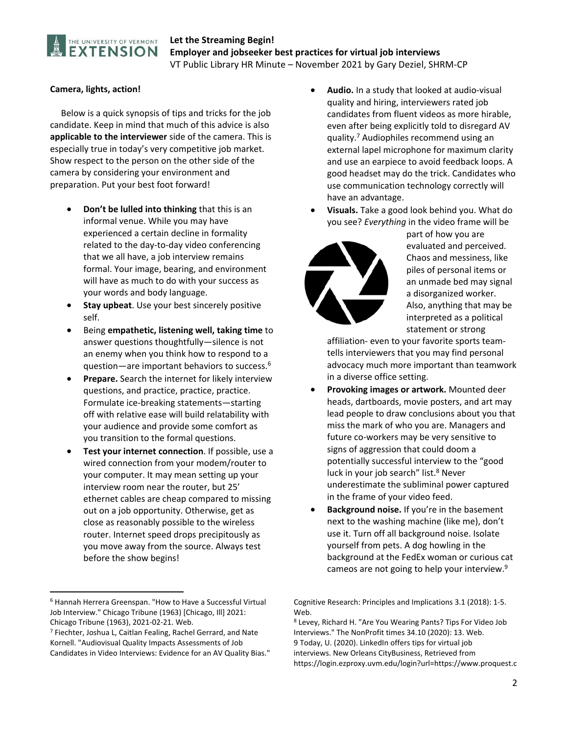

## **Let the Streaming Begin! Employer and jobseeker best practices for virtual job interviews**  VT Public Library HR Minute – November 2021 by Gary Deziel, SHRM‐CP

### **Camera, lights, action!**

 Below is a quick synopsis of tips and tricks for the job candidate. Keep in mind that much of this advice is also **applicable to the interviewer** side of the camera. This is especially true in today's very competitive job market. Show respect to the person on the other side of the camera by considering your environment and preparation. Put your best foot forward!

- **Don't be lulled into thinking** that this is an informal venue. While you may have experienced a certain decline in formality related to the day‐to‐day video conferencing that we all have, a job interview remains formal. Your image, bearing, and environment will have as much to do with your success as your words and body language.
- **Stay upbeat**. Use your best sincerely positive self.
- Being **empathetic, listening well, taking time** to answer questions thoughtfully—silence is not an enemy when you think how to respond to a question—are important behaviors to success.6
- **Prepare.** Search the internet for likely interview questions, and practice, practice, practice. Formulate ice‐breaking statements—starting off with relative ease will build relatability with your audience and provide some comfort as you transition to the formal questions.
- **Test your internet connection**. If possible, use a wired connection from your modem/router to your computer. It may mean setting up your interview room near the router, but 25' ethernet cables are cheap compared to missing out on a job opportunity. Otherwise, get as close as reasonably possible to the wireless router. Internet speed drops precipitously as you move away from the source. Always test before the show begins!
- **Audio.** In a study that looked at audio‐visual quality and hiring, interviewers rated job candidates from fluent videos as more hirable, even after being explicitly told to disregard AV quality.7 Audiophiles recommend using an external lapel microphone for maximum clarity and use an earpiece to avoid feedback loops. A good headset may do the trick. Candidates who use communication technology correctly will have an advantage.
- **Visuals.** Take a good look behind you. What do you see? *Everything* in the video frame will be



part of how you are evaluated and perceived. Chaos and messiness, like piles of personal items or an unmade bed may signal a disorganized worker. Also, anything that may be interpreted as a political statement or strong

affiliation‐ even to your favorite sports team‐ tells interviewers that you may find personal advocacy much more important than teamwork in a diverse office setting.

- **Provoking images or artwork.** Mounted deer heads, dartboards, movie posters, and art may lead people to draw conclusions about you that miss the mark of who you are. Managers and future co‐workers may be very sensitive to signs of aggression that could doom a potentially successful interview to the "good luck in your job search" list.<sup>8</sup> Never underestimate the subliminal power captured in the frame of your video feed.
- **Background noise.** If you're in the basement next to the washing machine (like me), don't use it. Turn off all background noise. Isolate yourself from pets. A dog howling in the background at the FedEx woman or curious cat cameos are not going to help your interview.<sup>9</sup>

<sup>6</sup> Hannah Herrera Greenspan. "How to Have a Successful Virtual Job Interview." Chicago Tribune (1963) [Chicago, Ill] 2021: Chicago Tribune (1963), 2021‐02‐21. Web.

<sup>7</sup> Fiechter, Joshua L, Caitlan Fealing, Rachel Gerrard, and Nate Kornell. "Audiovisual Quality Impacts Assessments of Job Candidates in Video Interviews: Evidence for an AV Quality Bias."

Cognitive Research: Principles and Implications 3.1 (2018): 1‐5. Web.

<sup>8</sup> Levey, Richard H. "Are You Wearing Pants? Tips For Video Job Interviews." The NonProfit times 34.10 (2020): 13. Web. 9 Today, U. (2020). LinkedIn offers tips for virtual job interviews. New Orleans CityBusiness, Retrieved from https://login.ezproxy.uvm.edu/login?url=https://www.proquest.c